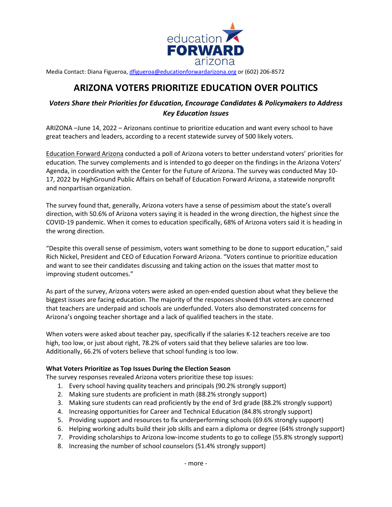

Media Contact: Diana Figueroa[, dfigueroa@educationforwardarizona.org](mailto:dfigueroa@educationforwardarizona.org) or (602) 206-8572

# **ARIZONA VOTERS PRIORITIZE EDUCATION OVER POLITICS**

# *Voters Share their Priorities for Education, Encourage Candidates & Policymakers to Address Key Education Issues*

ARIZONA –June 14, 2022 – Arizonans continue to prioritize education and want every school to have great teachers and leaders, according to a recent statewide survey of 500 likely voters.

[Education Forward Arizona](http://www.educationforwardarizona.org/) conducted a poll of Arizona voters to better understand voters' priorities for education. The survey complements and is intended to go deeper on the findings in the Arizona Voters' Agenda, in coordination with the Center for the Future of Arizona. The survey was conducted May 10- 17, 2022 by HighGround Public Affairs on behalf of Education Forward Arizona, a statewide nonprofit and nonpartisan organization.

The survey found that, generally, Arizona voters have a sense of pessimism about the state's overall direction, with 50.6% of Arizona voters saying it is headed in the wrong direction, the highest since the COVID-19 pandemic. When it comes to education specifically, 68% of Arizona voters said it is heading in the wrong direction.

"Despite this overall sense of pessimism, voters want something to be done to support education," said Rich Nickel, President and CEO of Education Forward Arizona. "Voters continue to prioritize education and want to see their candidates discussing and taking action on the issues that matter most to improving student outcomes."

As part of the survey, Arizona voters were asked an open-ended question about what they believe the biggest issues are facing education. The majority of the responses showed that voters are concerned that teachers are underpaid and schools are underfunded. Voters also demonstrated concerns for Arizona's ongoing teacher shortage and a lack of qualified teachers in the state.

When voters were asked about teacher pay, specifically if the salaries K-12 teachers receive are too high, too low, or just about right, 78.2% of voters said that they believe salaries are too low. Additionally, 66.2% of voters believe that school funding is too low.

#### **What Voters Prioritize as Top Issues During the Election Season**

The survey responses revealed Arizona voters prioritize these top issues:

- 1. Every school having quality teachers and principals (90.2% strongly support)
- 2. Making sure students are proficient in math (88.2% strongly support)
- 3. Making sure students can read proficiently by the end of 3rd grade (88.2% strongly support)
- 4. Increasing opportunities for Career and Technical Education (84.8% strongly support)
- 5. Providing support and resources to fix underperforming schools (69.6% strongly support)
- 6. Helping working adults build their job skills and earn a diploma or degree (64% strongly support)
- 7. Providing scholarships to Arizona low-income students to go to college (55.8% strongly support)
- 8. Increasing the number of school counselors (51.4% strongly support)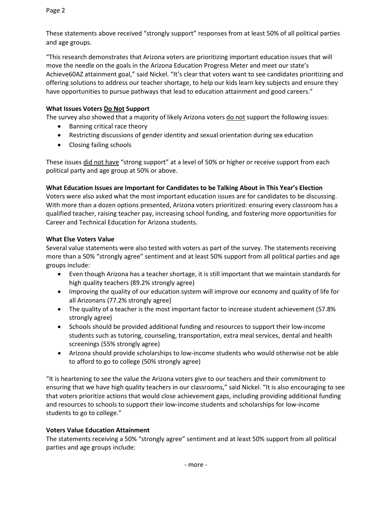These statements above received "strongly support" responses from at least 50% of all political parties and age groups.

"This research demonstrates that Arizona voters are prioritizing important education issues that will move the needle on the goals in the Arizona Education Progress Meter and meet our state's Achieve60AZ attainment goal," said Nickel. "It's clear that voters want to see candidates prioritizing and offering solutions to address our teacher shortage, to help our kids learn key subjects and ensure they have opportunities to pursue pathways that lead to education attainment and good careers."

## **What Issues Voters Do Not Support**

The survey also showed that a majority of likely Arizona voters do not support the following issues:

- Banning critical race theory
- Restricting discussions of gender identity and sexual orientation during sex education
- Closing failing schools

These issues did not have "strong support" at a level of 50% or higher or receive support from each political party and age group at 50% or above.

**What Education Issues are Important for Candidates to be Talking About in This Year's Election**

Voters were also asked what the most important education issues are for candidates to be discussing. With more than a dozen options presented, Arizona voters prioritized: ensuring every classroom has a qualified teacher, raising teacher pay, increasing school funding, and fostering more opportunities for Career and Technical Education for Arizona students.

## **What Else Voters Value**

Several value statements were also tested with voters as part of the survey. The statements receiving more than a 50% "strongly agree" sentiment and at least 50% support from all political parties and age groups include:

- Even though Arizona has a teacher shortage, it is still important that we maintain standards for high quality teachers (89.2% strongly agree)
- Improving the quality of our education system will improve our economy and quality of life for all Arizonans (77.2% strongly agree)
- The quality of a teacher is the most important factor to increase student achievement (57.8% strongly agree)
- Schools should be provided additional funding and resources to support their low-income students such as tutoring, counseling, transportation, extra meal services, dental and health screenings (55% strongly agree)
- Arizona should provide scholarships to low-income students who would otherwise not be able to afford to go to college (50% strongly agree)

"It is heartening to see the value the Arizona voters give to our teachers and their commitment to ensuring that we have high quality teachers in our classrooms," said Nickel. "It is also encouraging to see that voters prioritize actions that would close achievement gaps, including providing additional funding and resources to schools to support their low-income students and scholarships for low-income students to go to college."

## **Voters Value Education Attainment**

The statements receiving a 50% "strongly agree" sentiment and at least 50% support from all political parties and age groups include: